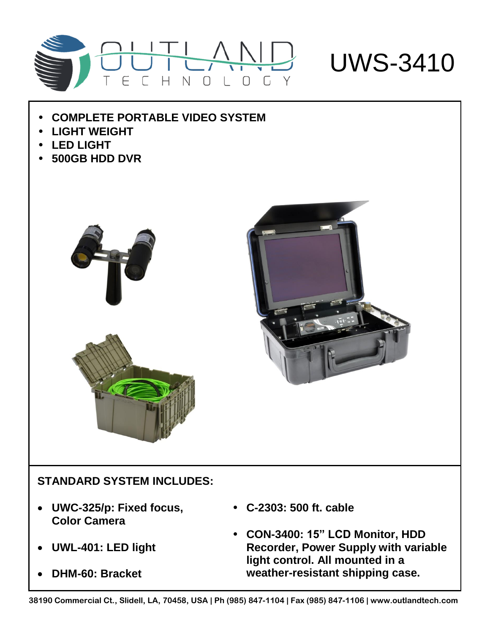

## UWS-3410

- **COMPLETE PORTABLE VIDEO SYSTEM**
- **LIGHT WEIGHT**
- **LED LIGHT**
- **500GB HDD DVR**





## **STANDARD SYSTEM INCLUDES:**

- **UWC-325/p: Fixed focus, Color Camera**
- **UWL-401: LED light**
- **DHM-60: Bracket**
- **C-2303: 500 ft. cable**
- **CON-3400: 15" LCD Monitor, HDD Recorder, Power Supply with variable light control. All mounted in a weather-resistant shipping case.**